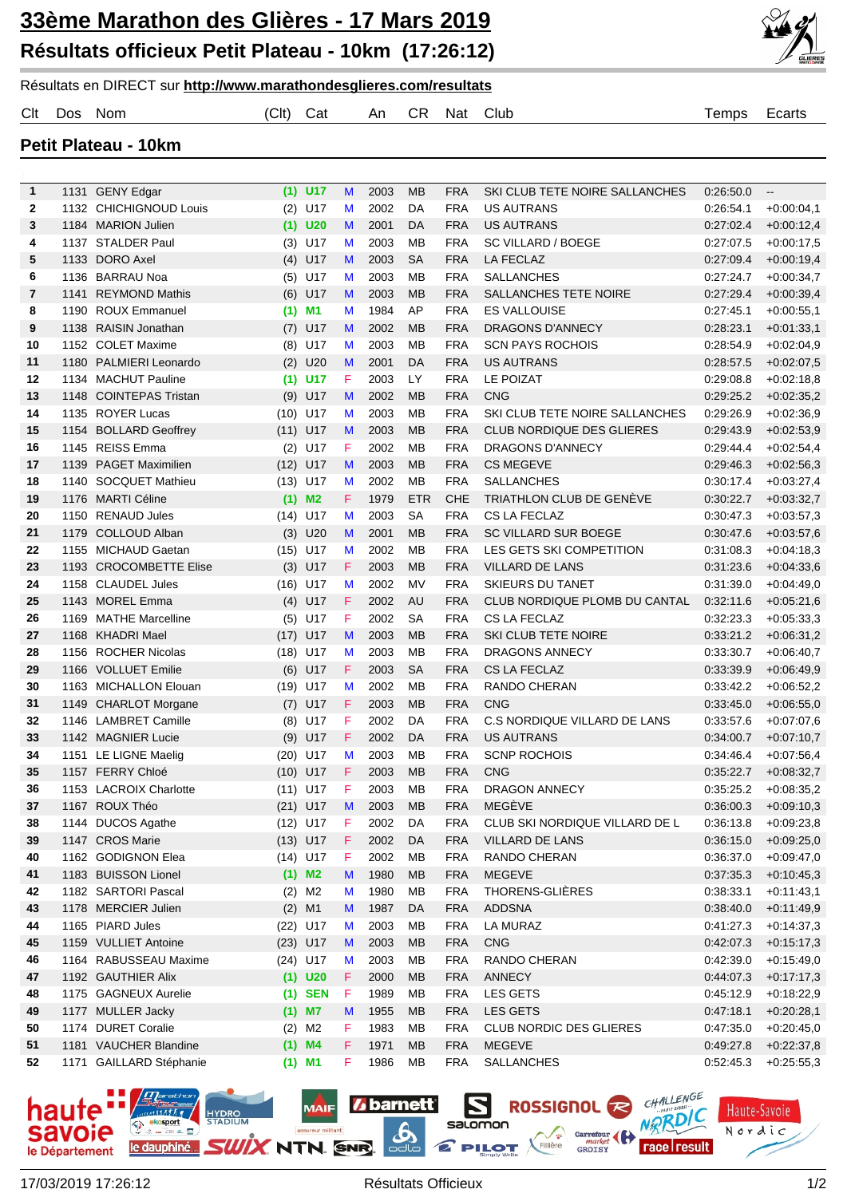

## Résultats en DIRECT sur **http://www.marathondesglieres.com/resultats**

|  | Clt Dos Nom | (Clt) Cat |  | An CR Nat Club | Temps Ecarts |  |
|--|-------------|-----------|--|----------------|--------------|--|
|  |             |           |  |                |              |  |

**Petit Plateau - 10km**

| $\mathbf{1}$ |      | 1131 GENY Edgar                          |             | $(1)$ U17  | M      | 2003         | MB                      | <b>FRA</b>               | SKI CLUB TETE NOIRE SALLANCHES           | 0.26:50.0              | $\overline{\phantom{a}}$     |
|--------------|------|------------------------------------------|-------------|------------|--------|--------------|-------------------------|--------------------------|------------------------------------------|------------------------|------------------------------|
| $\mathbf{2}$ |      | 1132 CHICHIGNOUD Louis                   |             | $(2)$ U17  | M      | 2002         | DA                      | <b>FRA</b>               | <b>US AUTRANS</b>                        | 0:26:54.1              | $+0.00:04.1$                 |
| 3            |      | 1184 MARION Julien                       |             | $(1)$ U20  | M      | 2001         | DA                      | <b>FRA</b>               | <b>US AUTRANS</b>                        | 0.27:02.4              | $+0.00:12.4$                 |
| 4            |      | 1137 STALDER Paul                        |             | $(3)$ U17  | M      | 2003         | МB                      | <b>FRA</b>               | <b>SC VILLARD / BOEGE</b>                | 0:27:07.5              | $+0.00:17.5$                 |
| 5            |      | 1133 DORO Axel                           | (4)         | U17        | M      | 2003         | <b>SA</b>               | <b>FRA</b>               | LA FECLAZ                                | 0.27:09.4              | $+0.00:19,4$                 |
| 6            |      | 1136 BARRAU Noa                          |             | $(5)$ U17  | M      | 2003         | MB                      | <b>FRA</b>               | <b>SALLANCHES</b>                        | 0.27:24.7              | $+0.00:34,7$                 |
| 7            | 1141 | <b>REYMOND Mathis</b>                    |             | $(6)$ U17  | M      | 2003         | <b>MB</b>               | <b>FRA</b>               | SALLANCHES TETE NOIRE                    | 0.27:29.4              | $+0.00:39,4$                 |
| 8            |      | 1190 ROUX Emmanuel                       | (1)         | <b>M1</b>  | M      | 1984         | AP                      | <b>FRA</b>               | <b>ES VALLOUISE</b>                      | 0:27:45.1              | $+0.00.55,1$                 |
| 9            |      | 1138 RAISIN Jonathan                     | (7)         | U17        | M      | 2002         | <b>MB</b>               | <b>FRA</b>               | DRAGONS D'ANNECY                         | 0:28:23.1              | $+0.01:33,1$                 |
| 10           |      | 1152 COLET Maxime                        | (8)         | U17        | M      | 2003         | MB                      | <b>FRA</b>               | <b>SCN PAYS ROCHOIS</b>                  | 0:28:54.9              | $+0.02:04,9$                 |
| 11           |      | 1180 PALMIERI Leonardo                   | (2)         | U20        | M      | 2001         | DA                      | <b>FRA</b>               | <b>US AUTRANS</b>                        | 0:28:57.5              | $+0.02:07,5$                 |
| 12           |      | 1134 MACHUT Pauline                      | (1)         | <b>U17</b> | F      | 2003         | LY.                     | <b>FRA</b>               | <b>LE POIZAT</b>                         | 0:29:08.8              | $+0.02:18,8$                 |
| 13           |      | 1148 COINTEPAS Tristan                   | (9)         | U17        | M      | 2002         | <b>MB</b>               | <b>FRA</b>               | <b>CNG</b>                               | 0.29.25.2              | $+0.02:35,2$                 |
| 14           |      | 1135 ROYER Lucas                         | (10)        | U17        | M      | 2003         | <b>MB</b>               | <b>FRA</b>               | SKI CLUB TETE NOIRE SALLANCHES           | 0:29:26.9              | $+0.02:36,9$                 |
| 15           |      | 1154 BOLLARD Geoffrey                    | (11)        | U17        | M      | 2003         | <b>MB</b>               | <b>FRA</b>               | <b>CLUB NORDIQUE DES GLIERES</b>         | 0.29:43.9              | $+0.02:53,9$                 |
| 16           |      | 1145 REISS Emma                          | (2)         | U17        | F      | 2002         | <b>MB</b>               | <b>FRA</b>               | <b>DRAGONS D'ANNECY</b>                  | 0:29:44.4              | $+0.02:54,4$                 |
| 17           |      | 1139 PAGET Maximilien                    | (12)        | U17        | M      | 2003         | <b>MB</b>               | <b>FRA</b>               | <b>CS MEGEVE</b>                         | 0.29:46.3<br>0:30:17.4 | $+0.02:56,3$                 |
| 18           | 1140 | <b>SOCQUET Mathieu</b>                   | (13)        | U17        | M      | 2002         | <b>MB</b>               | <b>FRA</b>               | <b>SALLANCHES</b>                        |                        | $+0.03:27,4$                 |
| 19           | 1150 | 1176 MARTI Céline<br><b>RENAUD Jules</b> |             | $(1)$ M2   | F<br>M | 1979<br>2003 | <b>ETR</b><br><b>SA</b> | <b>CHE</b><br><b>FRA</b> | TRIATHLON CLUB DE GENÈVE<br>CS LA FECLAZ | 0:30:22.7<br>0:30:47.3 | $+0.03:32,7$                 |
| 20           | 1179 | <b>COLLOUD Alban</b>                     | (14)        | U17<br>U20 | M      | 2001         | <b>MB</b>               | <b>FRA</b>               | <b>SC VILLARD SUR BOEGE</b>              | 0:30:47.6              | $+0.03:57,3$<br>$+0.03:57,6$ |
| 21<br>22     |      | 1155 MICHAUD Gaetan                      | (3)<br>(15) | U17        | M      | 2002         | <b>MB</b>               | <b>FRA</b>               | LES GETS SKI COMPETITION                 | 0:31:08.3              | $+0.04:18,3$                 |
| 23           |      | 1193 CROCOMBETTE Elise                   | (3)         | U17        | F      | 2003         | <b>MB</b>               | <b>FRA</b>               | <b>VILLARD DE LANS</b>                   | 0.31.23.6              | $+0.04:33,6$                 |
| 24           |      | 1158 CLAUDEL Jules                       | (16)        | U17        | M      | 2002         | <b>MV</b>               | <b>FRA</b>               | <b>SKIEURS DU TANET</b>                  | 0:31:39.0              | $+0.04:49,0$                 |
| 25           |      | 1143 MOREL Emma                          | (4)         | U17        | F      | 2002         | <b>AU</b>               | <b>FRA</b>               | CLUB NORDIQUE PLOMB DU CANTAL            | 0:32:11.6              | $+0.05:21,6$                 |
| 26           | 1169 | <b>MATHE Marcelline</b>                  | (5)         | U17        | F      | 2002         | <b>SA</b>               | <b>FRA</b>               | CS LA FECLAZ                             | 0:32:23.3              | $+0.05:33,3$                 |
| 27           |      | 1168 KHADRI Mael                         | (17)        | U17        | M      | 2003         | <b>MB</b>               | <b>FRA</b>               | SKI CLUB TETE NOIRE                      | 0.33.21.2              | $+0.06:31,2$                 |
| 28           |      | 1156 ROCHER Nicolas                      | (18)        | U17        | M      | 2003         | <b>MB</b>               | <b>FRA</b>               | <b>DRAGONS ANNECY</b>                    | 0:33:30.7              | $+0.06:40,7$                 |
| 29           |      | 1166 VOLLUET Emilie                      | (6)         | U17        | F      | 2003         | <b>SA</b>               | <b>FRA</b>               | <b>CS LA FECLAZ</b>                      | 0.33.39.9              | $+0.06:49,9$                 |
| 30           |      | 1163 MICHALLON Elouan                    | (19)        | U17        | M      | 2002         | MB                      | <b>FRA</b>               | RANDO CHERAN                             | 0:33:42.2              | $+0.06:52,2$                 |
| 31           |      | 1149 CHARLOT Morgane                     | (7)         | U17        | F      | 2003         | <b>MB</b>               | <b>FRA</b>               | <b>CNG</b>                               | 0.33:45.0              | $+0.06:55,0$                 |
| 32           |      | 1146 LAMBRET Camille                     | (8)         | U17        | F      | 2002         | DA                      | <b>FRA</b>               | C.S NORDIQUE VILLARD DE LANS             | 0.33:57.6              | $+0.07:07.6$                 |
| 33           |      | 1142 MAGNIER Lucie                       | (9)         | U17        | F      | 2002         | DA                      | <b>FRA</b>               | <b>US AUTRANS</b>                        | 0.34:00.7              | $+0.07:10.7$                 |
| 34           |      | 1151 LE LIGNE Maelig                     |             | $(20)$ U17 | M      | 2003         | <b>MB</b>               | <b>FRA</b>               | <b>SCNP ROCHOIS</b>                      | 0:34:46.4              | $+0.07:56.4$                 |
| 35           |      | 1157 FERRY Chloé                         |             | $(10)$ U17 | F      | 2003         | <b>MB</b>               | <b>FRA</b>               | <b>CNG</b>                               | 0:35:22.7              | $+0.08:32,7$                 |
| 36           |      | 1153 LACROIX Charlotte                   |             | $(11)$ U17 | F      | 2003         | <b>MB</b>               | <b>FRA</b>               | <b>DRAGON ANNECY</b>                     | 0:35:25.2              | $+0.08:35.2$                 |
| 37           |      | 1167 ROUX Théo                           |             | (21) U17 M |        | 2003         | MB                      | <b>FRA</b>               | MEGÈVE                                   |                        | $0.36:00.3$ +0.09:10,3       |
| 38           |      | 1144 DUCOS Agathe                        |             | $(12)$ U17 | F      | 2002         | DA                      | <b>FRA</b>               | CLUB SKI NORDIQUE VILLARD DE L           | 0.36:13.8              | $+0.09:23,8$                 |
| 39           |      | 1147 CROS Marie                          |             | $(13)$ U17 | F      | 2002         | DA                      | <b>FRA</b>               | VILLARD DE LANS                          | 0:36:15.0              | $+0.09:25,0$                 |
| 40           |      | 1162 GODIGNON Elea                       |             | $(14)$ U17 | F      | 2002         | MB                      | <b>FRA</b>               | RANDO CHERAN                             | 0:36:37.0              | $+0.09:47,0$                 |
| 41           |      | 1183 BUISSON Lionel                      |             | $(1)$ M2   | M      | 1980         | MB                      | <b>FRA</b>               | <b>MEGEVE</b>                            | 0:37:35.3              | $+0.10.45,3$                 |
| 42           |      | 1182 SARTORI Pascal                      |             | $(2)$ M2   | M      | 1980         | MB                      | <b>FRA</b>               | THORENS-GLIÈRES                          | 0:38:33.1              | $+0.11:43,1$                 |
| 43           |      | 1178 MERCIER Julien                      |             | $(2)$ M1   | M      | 1987         | DA                      | <b>FRA</b>               | <b>ADDSNA</b>                            | 0.38:40.0              | $+0.11.49,9$                 |
| 44           |      | 1165 PIARD Jules                         |             | (22) U17   | M      | 2003         | MB                      | <b>FRA</b>               | LA MURAZ                                 | 0.41:27.3              | $+0.14.37,3$                 |
| 45           |      | 1159 VULLIET Antoine                     |             | $(23)$ U17 | M      | 2003         | MB                      | <b>FRA</b>               | <b>CNG</b>                               | 0.42:07.3              | $+0.15:17,3$                 |
| 46           |      | 1164 RABUSSEAU Maxime                    |             | $(24)$ U17 | M      | 2003         | MB                      | <b>FRA</b>               | RANDO CHERAN                             | 0.42:39.0              | $+0.15:49,0$                 |
| 47           |      | 1192 GAUTHIER Alix                       |             | $(1)$ U20  | F      | 2000         | MB                      | <b>FRA</b>               | ANNECY                                   | 0.44:07.3              | $+0.17:17,3$                 |
| 48           |      | 1175 GAGNEUX Aurelie                     |             | $(1)$ SEN  | F      | 1989         | MB                      | <b>FRA</b>               | LES GETS                                 | 0:45:12.9              | $+0.18:22,9$                 |
| 49           |      | 1177 MULLER Jacky                        |             | $(1)$ M7   | M      | 1955         | MB                      | <b>FRA</b>               | LES GETS                                 | 0:47:18.1              | $+0.20:28,1$                 |
| 50           |      | 1174 DURET Coralie                       |             | $(2)$ M2   | F      | 1983         | MB                      | <b>FRA</b>               | <b>CLUB NORDIC DES GLIERES</b>           | 0:47:35.0              | $+0.20:45,0$                 |
| 51           |      | 1181 VAUCHER Blandine                    |             | $(1)$ M4   | F      | 1971         | MB                      | <b>FRA</b>               | <b>MEGEVE</b>                            | 0:49:27.8              | $+0.22:37,8$                 |
| 52           |      | 1171 GAILLARD Stéphanie                  |             | $(1)$ M1   | F      | 1986         | MB                      | <b>FRA</b>               | SALLANCHES                               | 0.52:45.3              | $+0.25:55,3$                 |